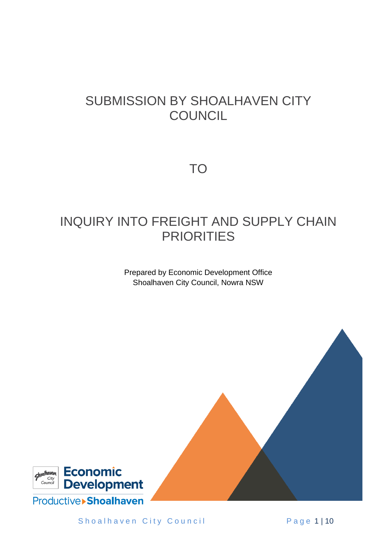# SUBMISSION BY SHOALHAVEN CITY **COUNCIL**

TO

# INQUIRY INTO FREIGHT AND SUPPLY CHAIN PRIORITIES

Prepared by Economic Development Office Shoalhaven City Council, Nowra NSW



Shoalhaven City Council Page 1|10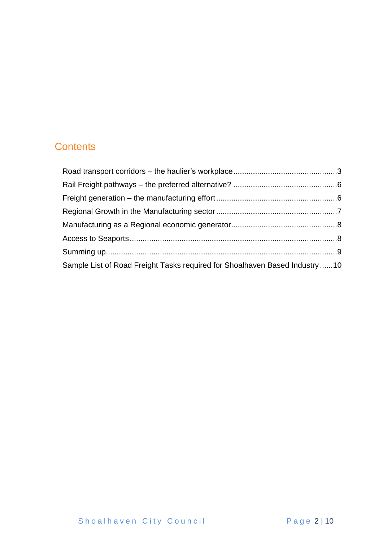### **Contents**

| Sample List of Road Freight Tasks required for Shoalhaven Based Industry 10 |  |
|-----------------------------------------------------------------------------|--|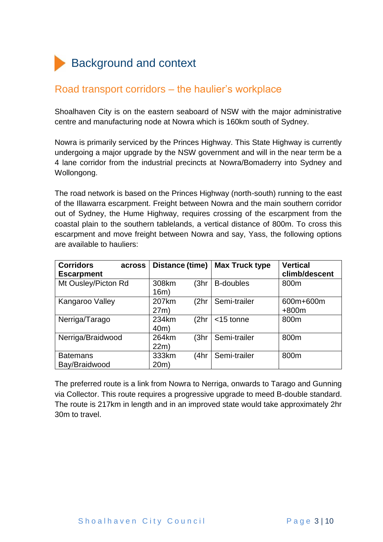

#### <span id="page-2-0"></span>Road transport corridors – the haulier's workplace

Shoalhaven City is on the eastern seaboard of NSW with the major administrative centre and manufacturing node at Nowra which is 160km south of Sydney.

Nowra is primarily serviced by the Princes Highway. This State Highway is currently undergoing a major upgrade by the NSW government and will in the near term be a 4 lane corridor from the industrial precincts at Nowra/Bomaderry into Sydney and Wollongong.

The road network is based on the Princes Highway (north-south) running to the east of the Illawarra escarpment. Freight between Nowra and the main southern corridor out of Sydney, the Hume Highway, requires crossing of the escarpment from the coastal plain to the southern tablelands, a vertical distance of 800m. To cross this escarpment and move freight between Nowra and say, Yass, the following options are available to hauliers:

| <b>Corridors</b><br>across<br><b>Escarpment</b> | Distance (time)       | <b>Max Truck type</b> | <b>Vertical</b><br>climb/descent |
|-------------------------------------------------|-----------------------|-----------------------|----------------------------------|
| Mt Ousley/Picton Rd                             | 308km<br>(3hr<br>16m) | <b>B-doubles</b>      | 800m                             |
| Kangaroo Valley                                 | 207km<br>(2hr<br>27m) | Semi-trailer          | 600m+600m<br>$+800m$             |
| Nerriga/Tarago                                  | 234km<br>(2hr<br>40m) | $<$ 15 tonne          | 800m                             |
| Nerriga/Braidwood                               | 264km<br>(3hr<br>22m) | Semi-trailer          | 800m                             |
| <b>Batemans</b><br>Bay/Braidwood                | 333km<br>(4hr<br>20m) | Semi-trailer          | 800m                             |

The preferred route is a link from Nowra to Nerriga, onwards to Tarago and Gunning via Collector. This route requires a progressive upgrade to meed B-double standard. The route is 217km in length and in an improved state would take approximately 2hr 30m to travel.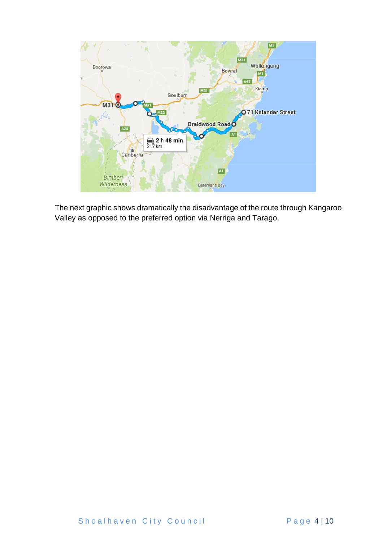

The next graphic shows dramatically the disadvantage of the route through Kangaroo Valley as opposed to the preferred option via Nerriga and Tarago.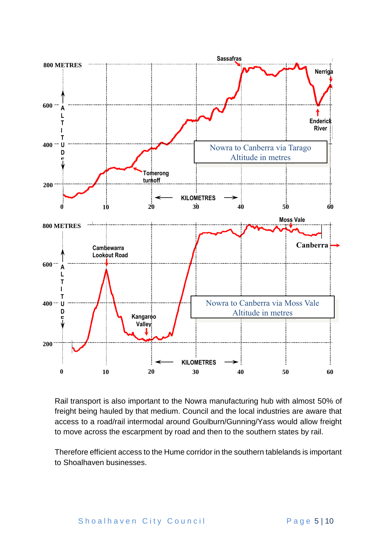

Rail transport is also important to the Nowra manufacturing hub with almost 50% of freight being hauled by that medium. Council and the local industries are aware that access to a road/rail intermodal around Goulburn/Gunning/Yass would allow freight to move across the escarpment by road and then to the southern states by rail.

Therefore efficient access to the Hume corridor in the southern tablelands is important to Shoalhaven businesses.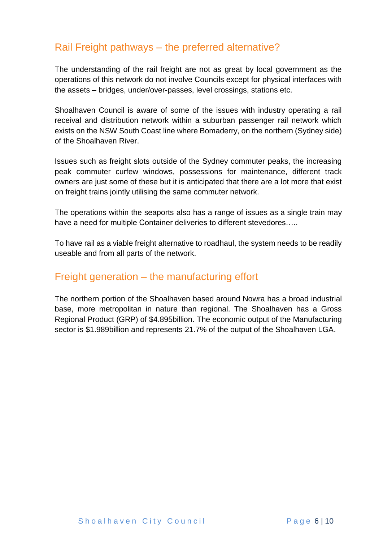### <span id="page-5-0"></span>Rail Freight pathways – the preferred alternative?

The understanding of the rail freight are not as great by local government as the operations of this network do not involve Councils except for physical interfaces with the assets – bridges, under/over-passes, level crossings, stations etc.

Shoalhaven Council is aware of some of the issues with industry operating a rail receival and distribution network within a suburban passenger rail network which exists on the NSW South Coast line where Bomaderry, on the northern (Sydney side) of the Shoalhaven River.

Issues such as freight slots outside of the Sydney commuter peaks, the increasing peak commuter curfew windows, possessions for maintenance, different track owners are just some of these but it is anticipated that there are a lot more that exist on freight trains jointly utilising the same commuter network.

The operations within the seaports also has a range of issues as a single train may have a need for multiple Container deliveries to different stevedores…..

To have rail as a viable freight alternative to roadhaul, the system needs to be readily useable and from all parts of the network.

#### <span id="page-5-1"></span>Freight generation – the manufacturing effort

The northern portion of the Shoalhaven based around Nowra has a broad industrial base, more metropolitan in nature than regional. The Shoalhaven has a Gross Regional Product (GRP) of \$4.895billion. The economic output of the Manufacturing sector is \$1.989billion and represents 21.7% of the output of the Shoalhaven LGA.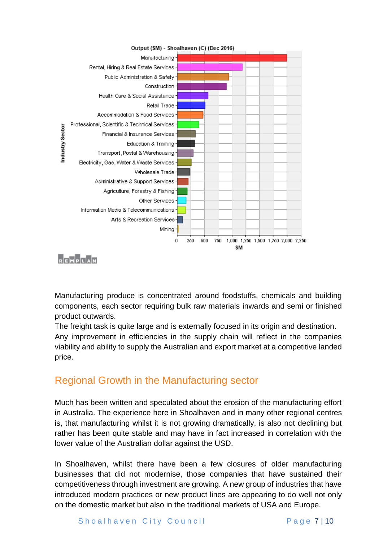

Manufacturing produce is concentrated around foodstuffs, chemicals and building components, each sector requiring bulk raw materials inwards and semi or finished product outwards.

The freight task is quite large and is externally focused in its origin and destination. Any improvement in efficiencies in the supply chain will reflect in the companies viability and ability to supply the Australian and export market at a competitive landed price.

#### <span id="page-6-0"></span>Regional Growth in the Manufacturing sector

Much has been written and speculated about the erosion of the manufacturing effort in Australia. The experience here in Shoalhaven and in many other regional centres is, that manufacturing whilst it is not growing dramatically, is also not declining but rather has been quite stable and may have in fact increased in correlation with the lower value of the Australian dollar against the USD.

In Shoalhaven, whilst there have been a few closures of older manufacturing businesses that did not modernise, those companies that have sustained their competitiveness through investment are growing. A new group of industries that have introduced modern practices or new product lines are appearing to do well not only on the domestic market but also in the traditional markets of USA and Europe.

#### Shoalhaven City Council Page 7|10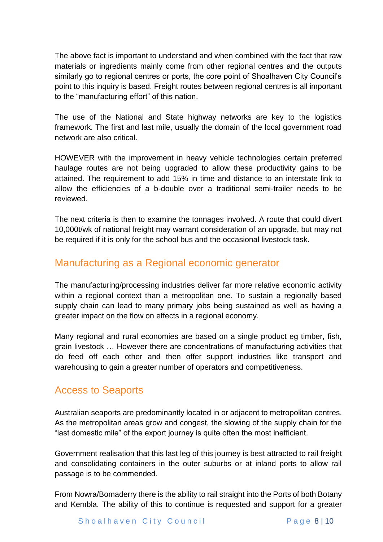The above fact is important to understand and when combined with the fact that raw materials or ingredients mainly come from other regional centres and the outputs similarly go to regional centres or ports, the core point of Shoalhaven City Council's point to this inquiry is based. Freight routes between regional centres is all important to the "manufacturing effort" of this nation.

The use of the National and State highway networks are key to the logistics framework. The first and last mile, usually the domain of the local government road network are also critical.

HOWEVER with the improvement in heavy vehicle technologies certain preferred haulage routes are not being upgraded to allow these productivity gains to be attained. The requirement to add 15% in time and distance to an interstate link to allow the efficiencies of a b-double over a traditional semi-trailer needs to be reviewed.

The next criteria is then to examine the tonnages involved. A route that could divert 10,000t/wk of national freight may warrant consideration of an upgrade, but may not be required if it is only for the school bus and the occasional livestock task.

#### <span id="page-7-0"></span>Manufacturing as a Regional economic generator

The manufacturing/processing industries deliver far more relative economic activity within a regional context than a metropolitan one. To sustain a regionally based supply chain can lead to many primary jobs being sustained as well as having a greater impact on the flow on effects in a regional economy.

Many regional and rural economies are based on a single product eg timber, fish, grain livestock … However there are concentrations of manufacturing activities that do feed off each other and then offer support industries like transport and warehousing to gain a greater number of operators and competitiveness.

#### <span id="page-7-1"></span>Access to Seaports

Australian seaports are predominantly located in or adjacent to metropolitan centres. As the metropolitan areas grow and congest, the slowing of the supply chain for the "last domestic mile" of the export journey is quite often the most inefficient.

Government realisation that this last leg of this journey is best attracted to rail freight and consolidating containers in the outer suburbs or at inland ports to allow rail passage is to be commended.

From Nowra/Bomaderry there is the ability to rail straight into the Ports of both Botany and Kembla. The ability of this to continue is requested and support for a greater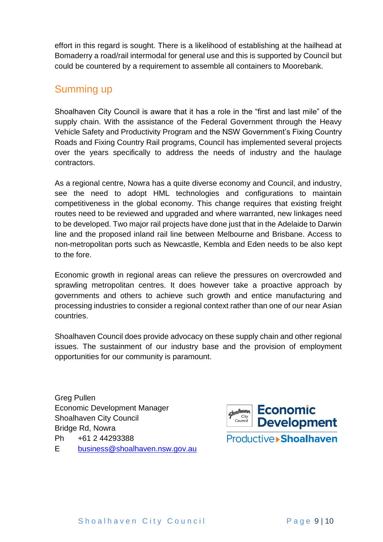effort in this regard is sought. There is a likelihood of establishing at the hailhead at Bomaderry a road/rail intermodal for general use and this is supported by Council but could be countered by a requirement to assemble all containers to Moorebank.

#### <span id="page-8-0"></span>Summing up

Shoalhaven City Council is aware that it has a role in the "first and last mile" of the supply chain. With the assistance of the Federal Government through the Heavy Vehicle Safety and Productivity Program and the NSW Government's Fixing Country Roads and Fixing Country Rail programs, Council has implemented several projects over the years specifically to address the needs of industry and the haulage contractors.

As a regional centre, Nowra has a quite diverse economy and Council, and industry, see the need to adopt HML technologies and configurations to maintain competitiveness in the global economy. This change requires that existing freight routes need to be reviewed and upgraded and where warranted, new linkages need to be developed. Two major rail projects have done just that in the Adelaide to Darwin line and the proposed inland rail line between Melbourne and Brisbane. Access to non-metropolitan ports such as Newcastle, Kembla and Eden needs to be also kept to the fore.

Economic growth in regional areas can relieve the pressures on overcrowded and sprawling metropolitan centres. It does however take a proactive approach by governments and others to achieve such growth and entice manufacturing and processing industries to consider a regional context rather than one of our near Asian countries.

Shoalhaven Council does provide advocacy on these supply chain and other regional issues. The sustainment of our industry base and the provision of employment opportunities for our community is paramount.

Greg Pullen Economic Development Manager Shoalhaven City Council Bridge Rd, Nowra Ph +61 2 44293388 E [business@shoalhaven.nsw.gov.au](mailto:business@shoalhaven.nsw.gov.au)